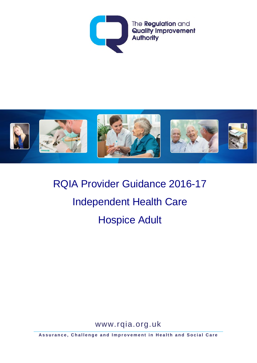



RQIA Provider Guidance 2016-17 Independent Health Care Hospice Adult

www.rqia.org.uk

**Assurance, Challenge and Improvement in Health and Social Care**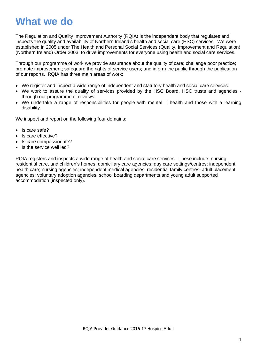# **What we do**

The Regulation and Quality Improvement Authority (RQIA) is the independent body that regulates and inspects the quality and availability of Northern Ireland's health and social care (HSC) services. We were established in 2005 under The Health and Personal Social Services (Quality, Improvement and Regulation) (Northern Ireland) Order 2003, to drive improvements for everyone using health and social care services.

Through our programme of work we provide assurance about the quality of care; challenge poor practice; promote improvement; safeguard the rights of service users; and inform the public through the publication of our reports. RQIA has three main areas of work:

- We register and inspect a wide range of independent and statutory health and social care services.
- We work to assure the quality of services provided by the HSC Board, HSC trusts and agencies through our programme of reviews.
- We undertake a range of responsibilities for people with mental ill health and those with a learning disability.

We inspect and report on the following four domains:

- Is care safe?
- Is care effective?
- Is care compassionate?
- Is the service well led?

RQIA registers and inspects a wide range of health and social care services. These include: nursing, residential care, and children's homes; domiciliary care agencies; day care settings/centres; independent health care; nursing agencies; independent medical agencies; residential family centres; adult placement agencies; voluntary adoption agencies, school boarding departments and young adult supported accommodation (inspected only).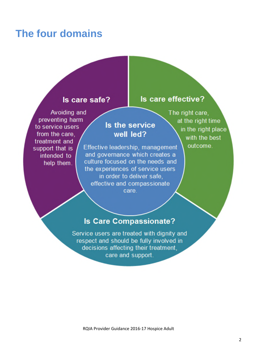# **The four domains**

#### Is care safe?

### Avoiding and preventing harm to service users from the care. treatment and support that is intended to help them.

## Is the service well led?

Effective leadership, management and governance which creates a culture focused on the needs and the experiences of service users in order to deliver safe, effective and compassionate care.

The right care, at the right time in the right place with the best

Is care effective?

outcome.

## **Is Care Compassionate?**

Service users are treated with dignity and respect and should be fully involved in decisions affecting their treatment. care and support.

RQIA Provider Guidance 2016-17 Hospice Adult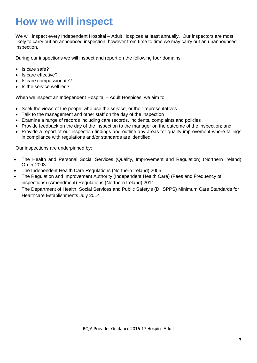# **How we will inspect**

We will inspect every Independent Hospital – Adult Hospices at least annually. Our inspectors are most likely to carry out an announced inspection, however from time to time we may carry out an unannounced inspection.

During our inspections we will inspect and report on the following four domains:

- Is care safe?
- Is care effective?
- Is care compassionate?
- Is the service well led?

When we inspect an Independent Hospital – Adult Hospices, we aim to:

- Seek the views of the people who use the service, or their representatives
- Talk to the management and other staff on the day of the inspection
- Examine a range of records including care records, incidents, complaints and policies
- Provide feedback on the day of the inspection to the manager on the outcome of the inspection; and
- Provide a report of our inspection findings and outline any areas for quality improvement where failings in compliance with regulations and/or standards are identified.

Our inspections are underpinned by:

- The Health and Personal Social Services (Quality, Improvement and Regulation) (Northern Ireland) Order 2003
- The Independent Health Care Regulations (Northern Ireland) 2005
- The Regulation and Improvement Authority (Independent Health Care) (Fees and Frequency of inspections) (Amendment) Regulations (Northern Ireland) 2011
- The Department of Health, Social Services and Public Safety's (DHSPPS) Minimum Care Standards for Healthcare Establishments July 2014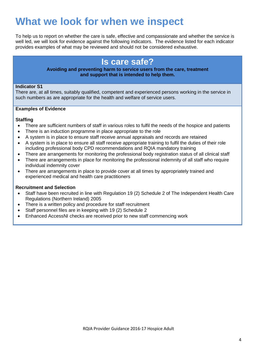# **What we look for when we inspect**

To help us to report on whether the care is safe, effective and compassionate and whether the service is well led, we will look for evidence against the following indicators. The evidence listed for each indicator provides examples of what may be reviewed and should not be considered exhaustive.

## **Is care safe?**

#### **Avoiding and preventing harm to service users from the care, treatment and support that is intended to help them.**

#### **Indicator S1**

There are, at all times, suitably qualified, competent and experienced persons working in the service in such numbers as are appropriate for the health and welfare of service users.

#### **Examples of Evidence**

#### **Staffing**

- There are sufficient numbers of staff in various roles to fulfil the needs of the hospice and patients
- There is an induction programme in place appropriate to the role
- A system is in place to ensure staff receive annual appraisals and records are retained
- A system is in place to ensure all staff receive appropriate training to fulfil the duties of their role including professional body CPD recommendations and RQIA mandatory training
- There are arrangements for monitoring the professional body registration status of all clinical staff
- There are arrangements in place for monitoring the professional indemnity of all staff who require individual indemnity cover
- There are arrangements in place to provide cover at all times by appropriately trained and experienced medical and health care practitioners

#### **Recruitment and Selection**

- Staff have been recruited in line with Regulation 19 (2) Schedule 2 of The Independent Health Care Regulations (Northern Ireland) 2005
- There is a written policy and procedure for staff recruitment
- Staff personnel files are in keeping with 19 (2) Schedule 2
- Enhanced AccessNI checks are received prior to new staff commencing work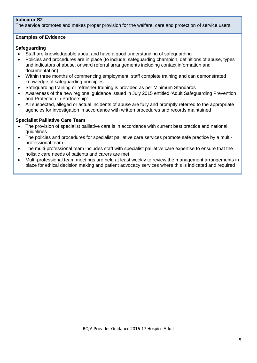#### **Indicator S2**

The service promotes and makes proper provision for the welfare, care and protection of service users.

#### **Examples of Evidence**

#### **Safeguarding**

- Staff are knowledgeable about and have a good understanding of safeguarding
- Policies and procedures are in place (to include; safeguarding champion, definitions of abuse, types and indicators of abuse, onward referral arrangements including contact information and documentation)
- Within three months of commencing employment, staff complete training and can demonstrated knowledge of safeguarding principles
- Safeguarding training or refresher training is provided as per Minimum Standards
- Awareness of the new regional guidance issued in July 2015 entitled 'Adult Safeguarding Prevention and Protection in Partnership'
- All suspected, alleged or actual incidents of abuse are fully and promptly referred to the appropriate agencies for investigation in accordance with written procedures and records maintained

#### **Specialist Palliative Care Team**

- The provision of specialist palliative care is in accordance with current best practice and national guidelines
- The policies and procedures for specialist palliative care services promote safe practice by a multiprofessional team
- The multi-professional team includes staff with specialist palliative care expertise to ensure that the holistic care needs of patients and carers are met
- Multi-professional team meetings are held at least weekly to review the management arrangements in place for ethical decision making and patient advocacy services where this is indicated and required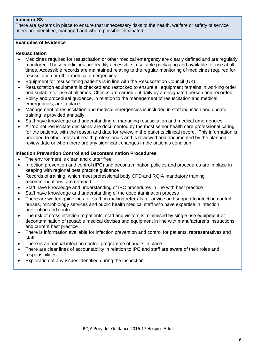#### **Indicator S3**

There are systems in place to ensure that unnecessary risks to the health, welfare or safety of service users are identified, managed and where possible eliminated.

#### **Examples of Evidence**

#### **Resuscitation**

- Medicines required for resuscitation or other medical emergency are clearly defined and are regularly monitored. These medicines are readily accessible in suitable packaging and available for use at all times. Accessible records are maintained relating to the regular monitoring of medicines required for resuscitation or other medical emergencies
- Equipment for resuscitating patients is in line with the Resuscitation Council (UK)
- Resuscitation equipment is checked and restocked to ensure all equipment remains in working order and suitable for use at all times. Checks are carried out daily by a designated person and recorded
- Policy and procedural guidance, in relation to the management of resuscitation and medical emergencies, are in place
- Management of resuscitation and medical emergencies is included in staff induction and update training is provided annually
- Staff have knowledge and understanding of managing resuscitation and medical emergencies
- All 'do not resuscitate decisions' are documented by the most senior health care professional caring for the patients, with the reason and date for review in the patients clinical record. This information is provided to other relevant health professionals and is reviewed and documented by the planned review date or when there are any significant changes in the patient's condition

#### **Infection Prevention Control and Decontamination Procedures**

- The environment is clean and clutter free
- Infection prevention and control (IPC) and decontamination policies and procedures are in place in keeping with regional best practice guidance
- Records of training, which meet professional body CPD and RQIA mandatory training recommendations, are retained
- Staff have knowledge and understanding of IPC procedures in line with best practice
- Staff have knowledge and understanding of the decontamination process
- There are written guidelines for staff on making referrals for advice and support to infection control nurses, microbiology services and public health medical staff who have expertise in infection prevention and control
- The risk of cross infection to patients, staff and visitors is minimised by single use equipment or decontamination of reusable medical devises and equipment in line with manufacturer's instructions and current best practice
- There is information available for infection prevention and control for patients, representatives and staff
- There is an annual infection control programme of audits in place
- There are clear lines of accountability in relation to IPC and staff are aware of their roles and responsibilities
- Exploration of any issues identified during the inspection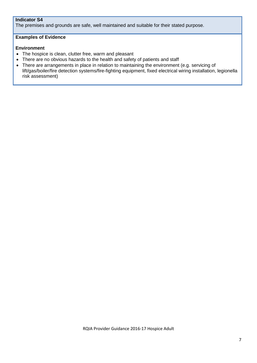#### **Indicator S4**

The premises and grounds are safe, well maintained and suitable for their stated purpose.

#### **Examples of Evidence**

#### **Environment**

- The hospice is clean, clutter free, warm and pleasant
- There are no obvious hazards to the health and safety of patients and staff
- There are arrangements in place in relation to maintaining the environment (e.g. servicing of lift/gas/boiler/fire detection systems/fire-fighting equipment, fixed electrical wiring installation, legionella risk assessment)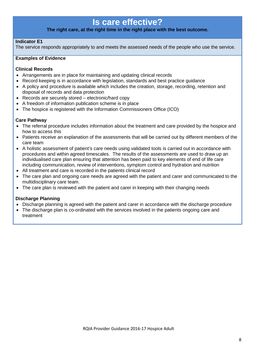## **Is care effective?**

#### **The right care, at the right time in the right place with the best outcome.**

#### **Indicator E1**

The service responds appropriately to and meets the assessed needs of the people who use the service.

#### **Examples of Evidence**

#### **Clinical Records**

- Arrangements are in place for maintaining and updating clinical records
- Record keeping is in accordance with legislation, standards and best practice guidance
- A policy and procedure is available which includes the creation, storage, recording, retention and disposal of records and data protection
- Records are securely stored electronic/hard copy
- A freedom of information publication scheme is in place
- The hospice is registered with the Information Commissioners Office (ICO)

#### **Care Pathway**

- The referral procedure includes information about the treatment and care provided by the hospice and how to access this
- Patients receive an explanation of the assessments that will be carried out by different members of the care team
- A holistic assessment of patient's care needs using validated tools is carried out in accordance with procedures and within agreed timescales. The results of the assessments are used to draw up an individualised care plan ensuring that attention has been paid to key elements of end of life care including communication, review of interventions, symptom control and hydration and nutrition
- All treatment and care is recorded in the patients clinical record
- The care plan and ongoing care needs are agreed with the patient and carer and communicated to the multidisciplinary care team.
- The care plan is reviewed with the patient and carer in keeping with their changing needs

#### **Discharge Planning**

- Discharge planning is agreed with the patient and carer in accordance with the discharge procedure
- The discharge plan is co-ordinated with the services involved in the patients ongoing care and treatment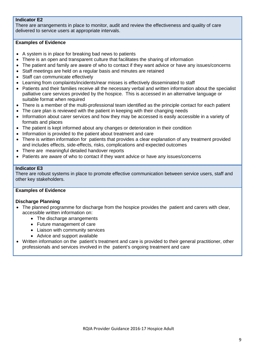#### **Indicator E2**

There are arrangements in place to monitor, audit and review the effectiveness and quality of care delivered to service users at appropriate intervals.

#### **Examples of Evidence**

- A system is in place for breaking bad news to patients
- There is an open and transparent culture that facilitates the sharing of information
- The patient and family are aware of who to contact if they want advice or have any issues/concerns
- Staff meetings are held on a regular basis and minutes are retained
- Staff can communicate effectively
- Learning from complaints/incidents/near misses is effectively disseminated to staff
- Patients and their families receive all the necessary verbal and written information about the specialist palliative care services provided by the hospice. This is accessed in an alternative language or suitable format when required
- There is a member of the multi-professional team identified as the principle contact for each patient
- The care plan is reviewed with the patient in keeping with their changing needs
- Information about carer services and how they may be accessed is easily accessible in a variety of formats and places
- The patient is kept informed about any changes or deterioration in their condition
- Information is provided to the patient about treatment and care
- There is written information for patients that provides a clear explanation of any treatment provided and includes effects, side-effects, risks, complications and expected outcomes
- There are meaningful detailed handover reports
- Patients are aware of who to contact if they want advice or have any issues/concerns

#### **Indicator E3**

There are robust systems in place to promote effective communication between service users, staff and other key stakeholders.

#### **Examples of Evidence**

#### **Discharge Planning**

- The planned programme for discharge from the hospice provides the patient and carers with clear, accessible written information on:
	- The discharge arrangements
	- Future management of care
	- Liaison with community services
	- Advice and support available
- Written information on the patient's treatment and care is provided to their general practitioner, other professionals and services involved in the patient's ongoing treatment and care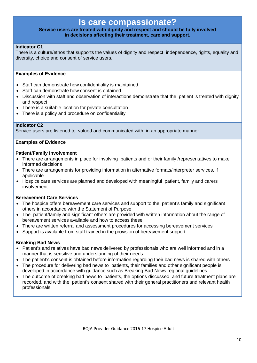### **Is care compassionate?**

#### **Service users are treated with dignity and respect and should be fully involved in decisions affecting their treatment, care and support.**

#### **Indicator C1**

There is a culture/ethos that supports the values of dignity and respect, independence, rights, equality and diversity, choice and consent of service users.

#### **Examples of Evidence**

- Staff can demonstrate how confidentiality is maintained
- Staff can demonstrate how consent is obtained
- Discussion with staff and observation of interactions demonstrate that the patient is treated with dignity and respect
- There is a suitable location for private consultation
- There is a policy and procedure on confidentiality

#### **Indicator C2**

Service users are listened to, valued and communicated with, in an appropriate manner.

#### **Examples of Evidence**

#### **Patient/Family Involvement**

- There are arrangements in place for involving patients and or their family /representatives to make informed decisions
- There are arrangements for providing information in alternative formats/interpreter services, if applicable
- Hospice care services are planned and developed with meaningful patient, family and carers involvement

#### **Bereavement Care Services**

- The hospice offers bereavement care services and support to the patient's family and significant others in accordance with the Statement of Purpose
- The patient/family and significant others are provided with written information about the range of bereavement services available and how to access these
- There are written referral and assessment procedures for accessing bereavement services
- Support is available from staff trained in the provision of bereavement support

#### **Breaking Bad News**

- Patient's and relatives have bad news delivered by professionals who are well informed and in a manner that is sensitive and understanding of their needs
- The patient's consent is obtained before information regarding their bad news is shared with others
- The procedure for delivering bad news to patients, their families and other significant people is developed in accordance with guidance such as Breaking Bad News regional guidelines
- The outcome of breaking bad news to patients, the options discussed, and future treatment plans are recorded, and with the patient's consent shared with their general practitioners and relevant health professionals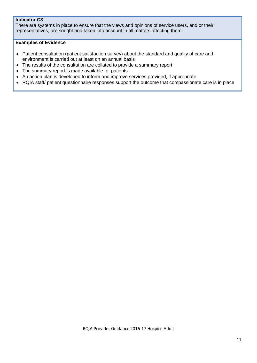#### **Indicator C3**

There are systems in place to ensure that the views and opinions of service users, and or their representatives, are sought and taken into account in all matters affecting them.

#### **Examples of Evidence**

- Patient consultation (patient satisfaction survey) about the standard and quality of care and environment is carried out at least on an annual basis
- The results of the consultation are collated to provide a summary report
- The summary report is made available to patients
- An action plan is developed to inform and improve services provided, if appropriate
- RQIA staff/ patient questionnaire responses support the outcome that compassionate care is in place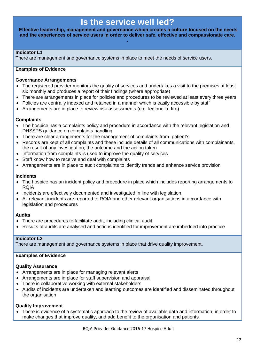## **Is the service well led?**

**Effective leadership, management and governance which creates a culture focused on the needs and the experiences of service users in order to deliver safe, effective and compassionate care. .**

#### **Indicator L1**

There are management and governance systems in place to meet the needs of service users.

#### **Examples of Evidence**

#### **Governance Arrangements**

- The registered provider monitors the quality of services and undertakes a visit to the premises at least six monthly and produces a report of their findings (where appropriate)
- There are arrangements in place for policies and procedures to be reviewed at least every three years
- Policies are centrally indexed and retained in a manner which is easily accessible by staff
- Arrangements are in place to review risk assessments (e.g. legionella, fire)

#### **Complaints**

- The hospice has a complaints policy and procedure in accordance with the relevant legislation and DHSSPS guidance on complaints handling
- There are clear arrangements for the management of complaints from patient's
- Records are kept of all complaints and these include details of all communications with complainants, the result of any investigation, the outcome and the action taken
- Information from complaints is used to improve the quality of services
- Staff know how to receive and deal with complaints
- Arrangements are in place to audit complaints to identify trends and enhance service provision

#### **Incidents**

- The hospice has an incident policy and procedure in place which includes reporting arrangements to RQIA
- Incidents are effectively documented and investigated in line with legislation
- All relevant incidents are reported to RQIA and other relevant organisations in accordance with legislation and procedures

#### **Audits**

- There are procedures to facilitate audit, including clinical audit
- Results of audits are analysed and actions identified for improvement are imbedded into practice

#### **Indicator L2**

There are management and governance systems in place that drive quality improvement.

#### **Examples of Evidence**

#### **Quality Assurance**

- Arrangements are in place for managing relevant alerts
- Arrangements are in place for staff supervision and appraisal
- There is collaborative working with external stakeholders
- Audits of incidents are undertaken and learning outcomes are identified and disseminated throughout the organisation

#### **Quality Improvement**

• There is evidence of a systematic approach to the review of available data and information, in order to make changes that improve quality, and add benefit to the organisation and patients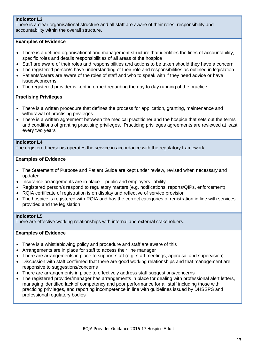#### **Indicator L3**

There is a clear organisational structure and all staff are aware of their roles, responsibility and accountability within the overall structure.

#### **Examples of Evidence**

- There is a defined organisational and management structure that identifies the lines of accountability, specific roles and details responsibilities of all areas of the hospice
- Staff are aware of their roles and responsibilities and actions to be taken should they have a concern
- The registered person/s have understanding of their role and responsibilities as outlined in legislation
- Patients/carers are aware of the roles of staff and who to speak with if they need advice or have issues/concerns
- The registered provider is kept informed regarding the day to day running of the practice

#### **Practising Privileges**

- There is a written procedure that defines the process for application, granting, maintenance and withdrawal of practising privileges
- There is a written agreement between the medical practitioner and the hospice that sets out the terms and conditions of granting practising privileges. Practicing privileges agreements are reviewed at least every two years

#### **Indicator L4**

The registered person/s operates the service in accordance with the regulatory framework.

#### **Examples of Evidence**

- The Statement of Purpose and Patient Guide are kept under review, revised when necessary and updated
- Insurance arrangements are in place public and employers liability
- Registered person/s respond to regulatory matters (e.g. notifications, reports/QIPs, enforcement)
- RQIA certificate of registration is on display and reflective of service provision
- The hospice is registered with RQIA and has the correct categories of registration in line with services provided and the legislation

#### **Indicator L5**

There are effective working relationships with internal and external stakeholders.

#### **Examples of Evidence**

- There is a whistleblowing policy and procedure and staff are aware of this
- Arrangements are in place for staff to access their line manager
- There are arrangements in place to support staff (e.g. staff meetings, appraisal and supervision)
- Discussion with staff confirmed that there are good working relationships and that management are responsive to suggestions/concerns
- There are arrangements in place to effectively address staff suggestions/concerns
- The registered provider/manager has arrangements in place for dealing with professional alert letters, managing identified lack of competency and poor performance for all staff including those with practicing privileges, and reporting incompetence in line with guidelines issued by DHSSPS and professional regulatory bodies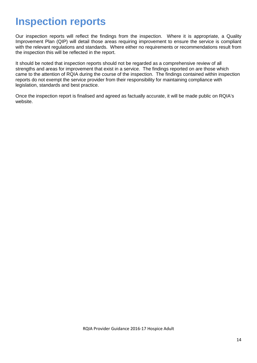# **Inspection reports**

Our inspection reports will reflect the findings from the inspection. Where it is appropriate, a Quality Improvement Plan (QIP) will detail those areas requiring improvement to ensure the service is compliant with the relevant regulations and standards. Where either no requirements or recommendations result from the inspection this will be reflected in the report.

It should be noted that inspection reports should not be regarded as a comprehensive review of all strengths and areas for improvement that exist in a service. The findings reported on are those which came to the attention of RQIA during the course of the inspection. The findings contained within inspection reports do not exempt the service provider from their responsibility for maintaining compliance with legislation, standards and best practice.

Once the inspection report is finalised and agreed as factually accurate, it will be made public on RQIA's website.